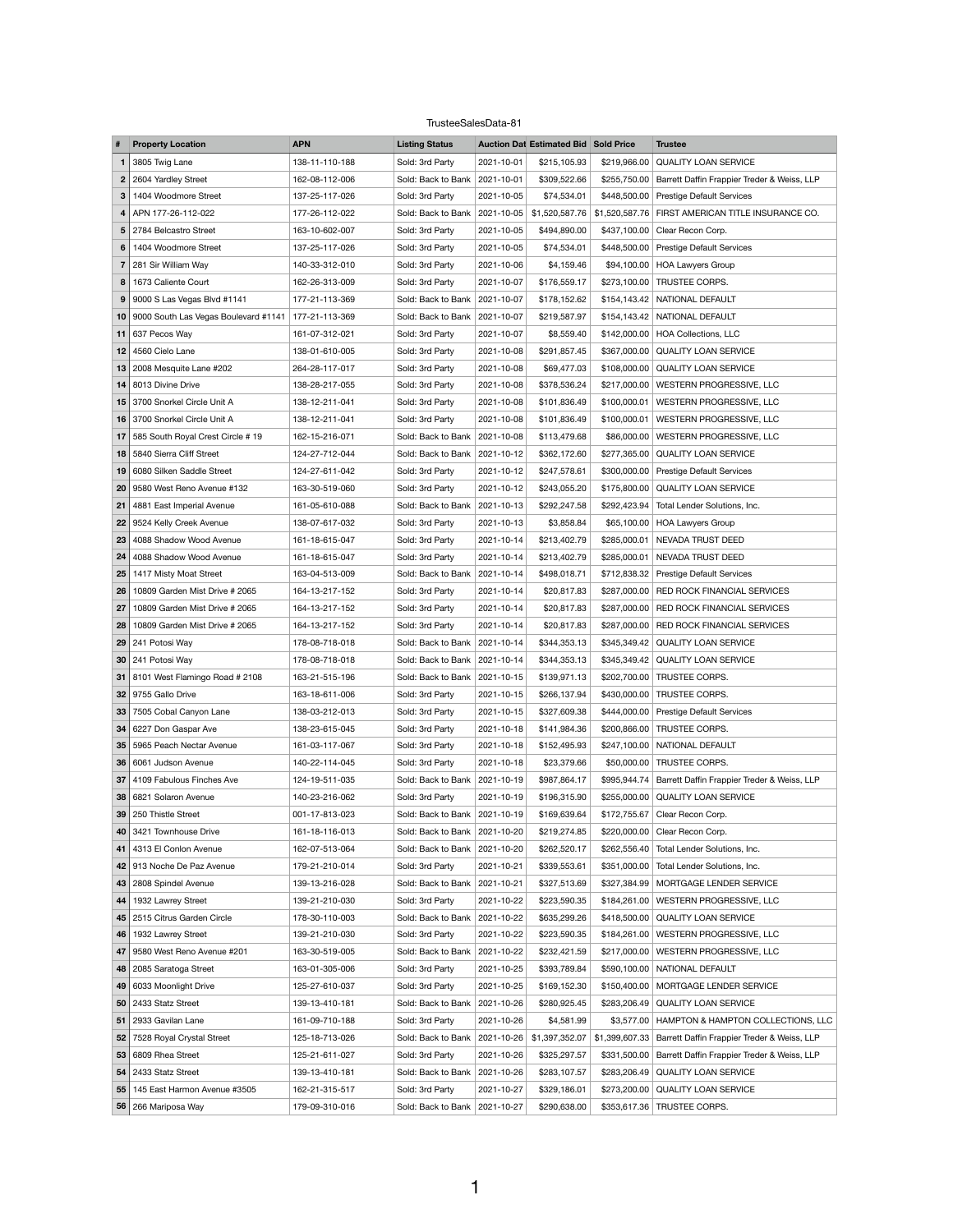## TrusteeSalesData-81

|                | <b>Property Location</b>                  | <b>APN</b>                       | <b>Listing Status</b>              |                          | <b>Auction Dat Estimated Bid Sold Price</b> |              | <b>Trustee</b>                                                          |
|----------------|-------------------------------------------|----------------------------------|------------------------------------|--------------------------|---------------------------------------------|--------------|-------------------------------------------------------------------------|
|                | 3805 Twig Lane                            | 138-11-110-188                   | Sold: 3rd Party                    | 2021-10-01               | \$215,105.93                                | \$219,966.00 | <b>QUALITY LOAN SERVICE</b>                                             |
| $\mathbf{2}$   | 2604 Yardley Street                       | 162-08-112-006                   | Sold: Back to Bank                 | 2021-10-01               | \$309,522.66                                | \$255,750.00 | Barrett Daffin Frappier Treder & Weiss, LLP                             |
| 3              | 1404 Woodmore Street                      | 137-25-117-026                   | Sold: 3rd Party                    | 2021-10-05               | \$74,534.01                                 |              | \$448,500.00 Prestige Default Services                                  |
|                | APN 177-26-112-022                        | 177-26-112-022                   | Sold: Back to Bank   2021-10-05    |                          | \$1,520,587.76                              |              | \$1,520,587.76   FIRST AMERICAN TITLE INSURANCE CO.                     |
| 5 <sup>1</sup> | 2784 Belcastro Street                     | 163-10-602-007                   | Sold: 3rd Party                    | 2021-10-05               | \$494,890.00                                | \$437,100.00 | Clear Recon Corp.                                                       |
| 6              | 1404 Woodmore Street                      | 137-25-117-026                   | Sold: 3rd Party                    | 2021-10-05               | \$74,534.01                                 |              | \$448,500.00 Prestige Default Services                                  |
|                | 281 Sir William Way                       | 140-33-312-010                   | Sold: 3rd Party                    | 2021-10-06               | \$4,159.46                                  |              | \$94,100.00   HOA Lawyers Group                                         |
| 8              | 1673 Caliente Court                       | 162-26-313-009                   | Sold: 3rd Party                    | 2021-10-07               | \$176,559.17                                | \$273,100.00 | TRUSTEE CORPS.                                                          |
| 9              | 9000 S Las Vegas Blvd #1141               | 177-21-113-369                   | Sold: Back to Bank                 | 2021-10-07               | \$178,152.62                                |              | \$154,143.42   NATIONAL DEFAULT                                         |
| 10             | 9000 South Las Vegas Boulevard #1141      | 177-21-113-369                   | Sold: Back to Bank   2021-10-07    |                          | \$219,587.97                                |              | \$154,143.42   NATIONAL DEFAULT                                         |
| 11             | 637 Pecos Way                             | 161-07-312-021                   | Sold: 3rd Party                    | 2021-10-07               | \$8,559.40                                  |              | \$142,000.00   HOA Collections, LLC                                     |
| 12             | 4560 Cielo Lane                           | 138-01-610-005                   | Sold: 3rd Party                    | 2021-10-08               | \$291,857.45                                |              | \$367,000.00   QUALITY LOAN SERVICE                                     |
| 13             | 2008 Mesquite Lane #202                   | 264-28-117-017                   | Sold: 3rd Party                    | 2021-10-08               | \$69,477.03                                 |              | \$108,000.00 QUALITY LOAN SERVICE                                       |
| 14             | 8013 Divine Drive                         | 138-28-217-055                   | Sold: 3rd Party                    | 2021-10-08               | \$378,536.24                                |              | \$217,000.00   WESTERN PROGRESSIVE, LLC                                 |
| 15             | 3700 Snorkel Circle Unit A                | 138-12-211-041                   | Sold: 3rd Party                    | 2021-10-08               | \$101,836.49                                |              | \$100,000.01   WESTERN PROGRESSIVE, LLC                                 |
| 16             | 3700 Snorkel Circle Unit A                | 138-12-211-041                   | Sold: 3rd Party                    | 2021-10-08               | \$101,836.49                                | \$100,000.01 | WESTERN PROGRESSIVE, LLC                                                |
| 17             | 585 South Royal Crest Circle # 19         | 162-15-216-071                   | Sold: Back to Bank   2021-10-08    |                          | \$113,479.68                                | \$86,000.00  | WESTERN PROGRESSIVE, LLC                                                |
| 18             | 5840 Sierra Cliff Street                  | 124-27-712-044                   | Sold: Back to Bank   2021-10-12    |                          | \$362,172.60                                |              | \$277,365.00 QUALITY LOAN SERVICE                                       |
| 19             | 6080 Silken Saddle Street                 | 124-27-611-042                   | Sold: 3rd Party                    | 2021-10-12               | \$247,578.61                                | \$300,000.00 | <b>Prestige Default Services</b>                                        |
| 20             | 9580 West Reno Avenue #132                | 163-30-519-060                   | Sold: 3rd Party                    | 2021-10-12               | \$243,055.20                                |              | \$175,800.00 QUALITY LOAN SERVICE                                       |
| 21             | 4881 East Imperial Avenue                 | 161-05-610-088                   | Sold: Back to Bank                 | 2021-10-13               | \$292,247.58                                | \$292,423.94 | Total Lender Solutions, Inc.                                            |
| 22             | 9524 Kelly Creek Avenue                   | 138-07-617-032                   | Sold: 3rd Party                    | 2021-10-13               | \$3,858.84                                  |              | \$65,100.00   HOA Lawyers Group                                         |
| 23             | 4088 Shadow Wood Avenue                   | 161-18-615-047                   | Sold: 3rd Party                    | 2021-10-14               | \$213,402.79                                |              | \$285,000.01 NEVADA TRUST DEED                                          |
| 24             | 4088 Shadow Wood Avenue                   | 161-18-615-047                   | Sold: 3rd Party                    | 2021-10-14               | \$213,402.79                                |              | \$285,000.01 NEVADA TRUST DEED                                          |
| 25             | 1417 Misty Moat Street                    | 163-04-513-009                   | Sold: Back to Bank                 | 2021-10-14               | \$498,018.71                                |              | \$712,838.32 Prestige Default Services                                  |
| 26             | 10809 Garden Mist Drive # 2065            | 164-13-217-152                   | Sold: 3rd Party                    | 2021-10-14               | \$20,817.83                                 |              | \$287,000.00 RED ROCK FINANCIAL SERVICES                                |
| 27             | 10809 Garden Mist Drive # 2065            | 164-13-217-152                   | Sold: 3rd Party                    | 2021-10-14               | \$20,817.83                                 |              | \$287,000.00   RED ROCK FINANCIAL SERVICES                              |
| 28             | 10809 Garden Mist Drive # 2065            | 164-13-217-152                   | Sold: 3rd Party                    | 2021-10-14               | \$20,817.83                                 |              | \$287,000.00   RED ROCK FINANCIAL SERVICES                              |
| 29             | 241 Potosi Way                            | 178-08-718-018                   | Sold: Back to Bank   2021-10-14    |                          | \$344,353.13                                |              | \$345,349.42   QUALITY LOAN SERVICE                                     |
| 30             | 241 Potosi Way                            | 178-08-718-018                   | Sold: Back to Bank   2021-10-14    |                          | \$344,353.13                                |              | \$345,349.42   QUALITY LOAN SERVICE                                     |
| 31             | 8101 West Flamingo Road # 2108            | 163-21-515-196                   | Sold: Back to Bank   2021-10-15    |                          | \$139,971.13                                |              | \$202,700.00 TRUSTEE CORPS.                                             |
|                | <b>32</b> 9755 Gallo Drive                | 163-18-611-006                   | Sold: 3rd Party                    | 2021-10-15               | \$266,137.94                                |              | \$430,000.00 TRUSTEE CORPS.                                             |
| 33             | 7505 Cobal Canyon Lane                    | 138-03-212-013                   | Sold: 3rd Party                    | 2021-10-15               | \$327,609.38                                |              | \$444,000.00 Prestige Default Services                                  |
| 34             | 6227 Don Gaspar Ave                       | 138-23-615-045                   | Sold: 3rd Party                    | 2021-10-18               | \$141,984.36                                |              | \$200,866.00 TRUSTEE CORPS.                                             |
| 35             | 5965 Peach Nectar Avenue                  | 161-03-117-067                   | Sold: 3rd Party                    | 2021-10-18               | \$152,495.93                                |              | \$247,100.00 NATIONAL DEFAULT                                           |
| 36             | 6061 Judson Avenue                        | 140-22-114-045                   | Sold: 3rd Party                    | 2021-10-18               | \$23,379.66                                 |              | \$50,000.00 TRUSTEE CORPS.                                              |
| 37             | 4109 Fabulous Finches Ave                 | 124-19-511-035                   | Sold: Back to Bank   2021-10-19    |                          | \$987,864.17                                |              | \$995,944.74   Barrett Daffin Frappier Treder & Weiss, LLP              |
| 38             | 6821 Solaron Avenue                       | 140-23-216-062                   | Sold: 3rd Party                    | 2021-10-19               | \$196,315.90                                |              | \$255,000.00   QUALITY LOAN SERVICE                                     |
| 39             | 250 Thistle Street                        | 001-17-813-023                   | Sold: Back to Bank   2021-10-19    |                          | \$169,639.64                                | \$172,755.67 | Clear Recon Corp.                                                       |
| 40             | 3421 Townhouse Drive                      | 161-18-116-013                   | Sold: Back to Bank   2021-10-20    |                          | \$219,274.85                                |              | \$220,000.00   Clear Recon Corp.                                        |
| 41             | 4313 El Conlon Avenue                     | 162-07-513-064                   | Sold: Back to Bank   2021-10-20    |                          | \$262,520.17                                |              | \$262,556.40 Total Lender Solutions, Inc.                               |
|                | 42   913 Noche De Paz Avenue              | 179-21-210-014                   | Sold: 3rd Party                    | 2021-10-21               | \$339,553.61                                | \$351,000.00 | Total Lender Solutions, Inc.                                            |
| 43             | 2808 Spindel Avenue                       | 139-13-216-028                   | Sold: Back to Bank   2021-10-21    |                          | \$327,513.69                                |              | \$327,384.99   MORTGAGE LENDER SERVICE                                  |
|                | 44   1932 Lawrey Street                   | 139-21-210-030                   | Sold: 3rd Party                    | 2021-10-22               | \$223,590.35                                |              | \$184,261.00   WESTERN PROGRESSIVE, LLC                                 |
| 45             | 2515 Citrus Garden Circle                 | 178-30-110-003                   | Sold: Back to Bank   2021-10-22    |                          | \$635,299.26                                |              | \$418,500.00   QUALITY LOAN SERVICE                                     |
| 46             | 1932 Lawrey Street                        | 139-21-210-030                   | Sold: 3rd Party                    | 2021-10-22               | \$223,590.35                                |              | \$184,261.00 WESTERN PROGRESSIVE, LLC                                   |
| 47             | 9580 West Reno Avenue #201                | 163-30-519-005                   | Sold: Back to Bank                 | 2021-10-22<br>2021-10-25 | \$232,421.59                                |              | \$217,000.00   WESTERN PROGRESSIVE, LLC                                 |
| 48<br>49       | 2085 Saratoga Street                      | 163-01-305-006                   | Sold: 3rd Party<br>Sold: 3rd Party | 2021-10-25               | \$393,789.84<br>\$169,152.30                |              | \$590,100.00 NATIONAL DEFAULT<br>\$150,400.00   MORTGAGE LENDER SERVICE |
| 50             | 6033 Moonlight Drive<br>2433 Statz Street | 125-27-610-037<br>139-13-410-181 | Sold: Back to Bank   2021-10-26    |                          | \$280,925.45                                |              | \$283,206.49   QUALITY LOAN SERVICE                                     |
| 51             | 2933 Gavilan Lane                         | 161-09-710-188                   | Sold: 3rd Party                    | 2021-10-26               | \$4,581.99                                  |              | \$3,577.00   HAMPTON & HAMPTON COLLECTIONS, LLC                         |
| 52             | 7528 Royal Crystal Street                 | 125-18-713-026                   | Sold: Back to Bank                 | 2021-10-26               | \$1,397,352.07                              |              | \$1,399,607.33   Barrett Daffin Frappier Treder & Weiss, LLP            |
| 53             | 6809 Rhea Street                          | 125-21-611-027                   | Sold: 3rd Party                    | 2021-10-26               | \$325,297.57                                |              | \$331,500.00 Barrett Daffin Frappier Treder & Weiss, LLP                |
| 54             | 2433 Statz Street                         | 139-13-410-181                   | Sold: Back to Bank                 | 2021-10-26               | \$283,107.57                                | \$283,206.49 | <b>QUALITY LOAN SERVICE</b>                                             |
| 55             | 145 East Harmon Avenue #3505              | 162-21-315-517                   | Sold: 3rd Party                    | 2021-10-27               | \$329,186.01                                |              | \$273,200.00 QUALITY LOAN SERVICE                                       |
|                | 56   266 Mariposa Way                     | 179-09-310-016                   | Sold: Back to Bank   2021-10-27    |                          | \$290,638.00                                |              | \$353,617.36 TRUSTEE CORPS.                                             |